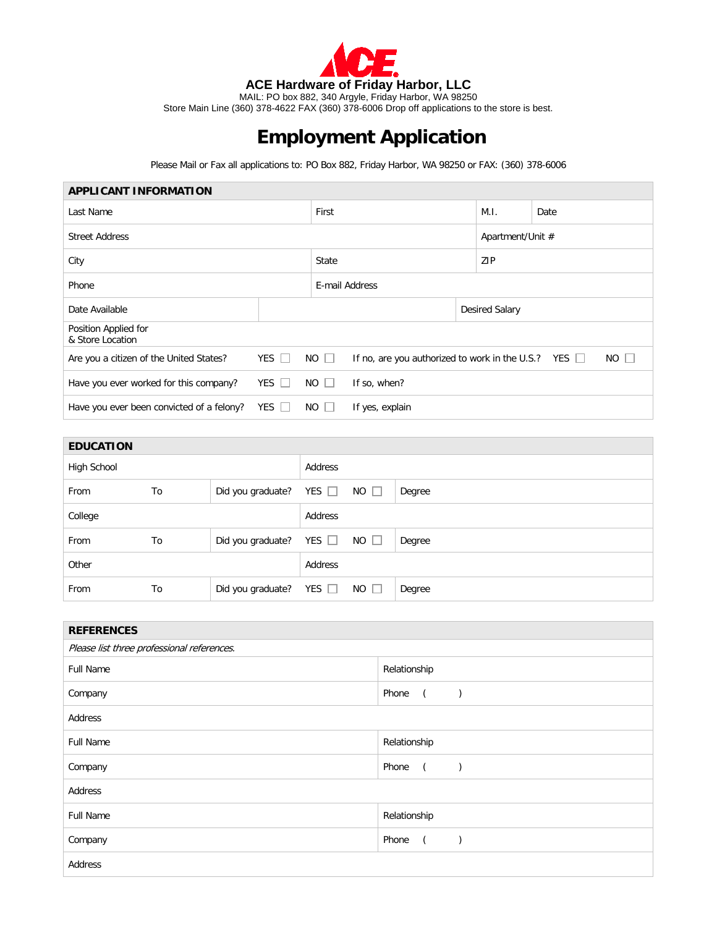

Store Main Line (360) 378-4622 FAX (360) 378-6006 Drop off applications to the store is best.

## **Employment Application**

Please Mail or Fax all applications to: PO Box 882, Friday Harbor, WA 98250 or FAX: (360) 378-6006

| <b>APPLICANT INFORMATION</b>              |              |                  |                                                                          |                       |                  |  |  |
|-------------------------------------------|--------------|------------------|--------------------------------------------------------------------------|-----------------------|------------------|--|--|
| Last Name                                 |              | First            |                                                                          | M.I.                  | Date             |  |  |
| <b>Street Address</b>                     |              |                  |                                                                          |                       | Apartment/Unit # |  |  |
| City                                      |              |                  |                                                                          | ZIP                   |                  |  |  |
| Phone                                     |              |                  | E-mail Address                                                           |                       |                  |  |  |
| Date Available                            |              |                  |                                                                          | <b>Desired Salary</b> |                  |  |  |
| Position Applied for<br>& Store Location  |              |                  |                                                                          |                       |                  |  |  |
| Are you a citizen of the United States?   | $YES$ $\Box$ | $NO$ $\Box$      | $NO$ $\Box$<br>If no, are you authorized to work in the U.S.? YES $\Box$ |                       |                  |  |  |
| Have you ever worked for this company?    | YES $\Box$   | $NO$ $\Box$      | If so, when?                                                             |                       |                  |  |  |
| Have you ever been convicted of a felony? | YES $\Box$   | <b>NO</b><br>-15 | If yes, explain                                                          |                       |                  |  |  |
|                                           |              |                  |                                                                          |                       |                  |  |  |

| <b>EDUCATION</b> |    |                   |            |             |        |
|------------------|----|-------------------|------------|-------------|--------|
| High School      |    |                   | Address    |             |        |
| From             | To | Did you graduate? | YES $\Box$ | $NO$ $\Box$ | Degree |
| College          |    |                   | Address    |             |        |
| From             | To | Did you graduate? | YES $\Box$ | $NO$ $\Box$ | Degree |
| Other            |    |                   | Address    |             |        |
| From             | To | Did you graduate? | YES $\Box$ | $NO$ $\Box$ | Degree |

| <b>REFERENCES</b>                          |                                                                           |  |  |  |
|--------------------------------------------|---------------------------------------------------------------------------|--|--|--|
| Please list three professional references. |                                                                           |  |  |  |
| <b>Full Name</b>                           | Relationship                                                              |  |  |  |
| Company                                    | Phone<br>$\overline{a}$<br>$\mathcal{E}$                                  |  |  |  |
| Address                                    |                                                                           |  |  |  |
| <b>Full Name</b>                           | Relationship                                                              |  |  |  |
| Company                                    | Phone<br>$\overline{a}$<br>$\left( \begin{array}{cc} \end{array} \right)$ |  |  |  |
| Address                                    |                                                                           |  |  |  |
| <b>Full Name</b>                           | Relationship                                                              |  |  |  |
| Company                                    | Phone<br>$\overline{a}$<br>$\lambda$                                      |  |  |  |
| Address                                    |                                                                           |  |  |  |